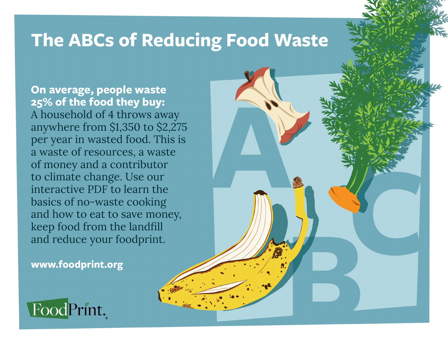## **The ABCs of Reducing Food Waste**

**On average, people waste 25% of the food they buy:** A household of 4 throws away anywhere from \$1,350 to \$2,275 per year in wasted food. This is a waste of resources, a waste of money and a contributor to climate change. Use our interactive PDF to learn the basics of no-waste cooking and how to eat to save money, keep food from the landfill and reduce your foodprint.

**[www.foodprint.org](https://www.foodprint.org)**

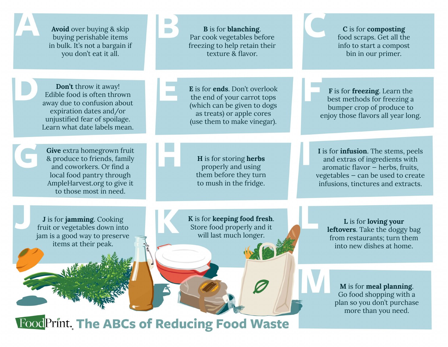| Avoid over buying & skip<br>buying perishable items<br>in bulk. It's not a bargain if<br>you don't eat it all.                                                                 | <b>B</b> is for <b>blanching</b> .<br>Par cook vegetables before<br>freezing to help retain their<br>texture & flavor.                                  | C is for composting<br>food scraps. Get all the<br>info to start a compost<br>bin in our primer.                                                                                              |
|--------------------------------------------------------------------------------------------------------------------------------------------------------------------------------|---------------------------------------------------------------------------------------------------------------------------------------------------------|-----------------------------------------------------------------------------------------------------------------------------------------------------------------------------------------------|
| Don't throw it away!<br>Edible food is often thrown<br>away due to confusion about<br>expiration dates and/or<br>unjustified fear of spoilage.<br>Learn what date labels mean. | E is for ends. Don't overlook<br>the end of your carrot tops<br>(which can be given to dogs<br>as treats) or apple cores<br>(use them to make vinegar). | F is for freezing. Learn the<br>best methods for freezing a<br>bumper crop of produce to<br>enjoy those flavors all year long.                                                                |
| Give extra homegrown fruit<br>& produce to friends, family<br>and coworkers. Or find a<br>local food pantry through<br>AmpleHarvest.org to give it<br>to those most in need.   | H is for storing herbs<br>properly and using<br>them before they turn<br>to mush in the fridge.                                                         | I is for <i>infusion</i> . The stems, peels<br>and extras of ingredients with<br>aromatic flavor - herbs, fruits,<br>vegetables - can be used to create<br>infusions, tinctures and extracts. |
| J is for jamming. Cooking<br>fruit or vegetables down into<br>jam is a good way to preserve<br>items at their peak.                                                            | K is for keeping food fresh.<br>Store food properly and it<br>will last much longer.                                                                    | L is for loving your<br>leftovers. Take the doggy bag<br>from restaurants; turn them<br>into new dishes at home.                                                                              |
|                                                                                                                                                                                |                                                                                                                                                         | M is for meal planning.<br>Go food shopping with a<br>plan so you don't purchase<br>more than you need.                                                                                       |

**FoodPrint. The ABCs of Reducing Food Waste**